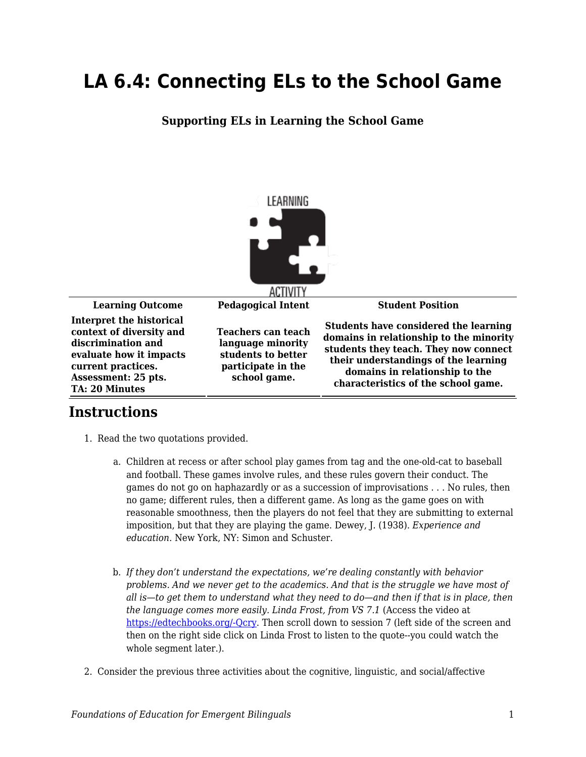## **LA 6.4: Connecting ELs to the School Game**

## **Supporting ELs in Learning the School Game**



## **Instructions**

- 1. Read the two quotations provided.
	- a. Children at recess or after school play games from tag and the one-old-cat to baseball and football. These games involve rules, and these rules govern their conduct. The games do not go on haphazardly or as a succession of improvisations . . . No rules, then no game; different rules, then a different game. As long as the game goes on with reasonable smoothness, then the players do not feel that they are submitting to external imposition, but that they are playing the game. Dewey, J. (1938). *Experience and education*. New York, NY: Simon and Schuster.
	- b. *If they don't understand the expectations, we're dealing constantly with behavior problems. And we never get to the academics. And that is the struggle we have most of all is—to get them to understand what they need to do—and then if that is in place, then the language comes more easily. Linda Frost, from VS 7.1* (Access the video at [https://edtechbooks.org/-Qcry](https://education.byu.edu/tellvideolibrary/bilingualEducation). Then scroll down to session 7 (left side of the screen and then on the right side click on Linda Frost to listen to the quote--you could watch the whole segment later.).
- 2. Consider the previous three activities about the cognitive, linguistic, and social/affective